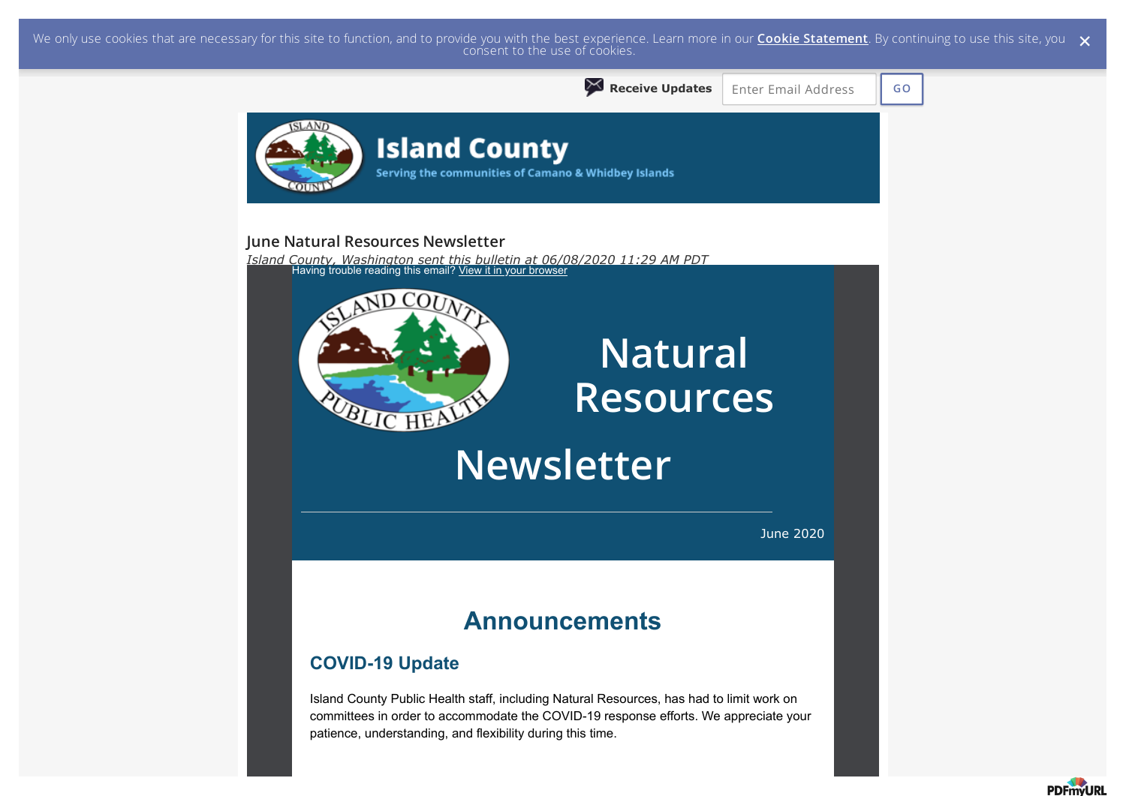We only use cookies that are necessary for this site to function, and to provide you with the best experience. Learn more in our <mark>Cookie Statement</mark>. By continuing to use this site, you  $\,\,\times\,$  consent to the use of cookie



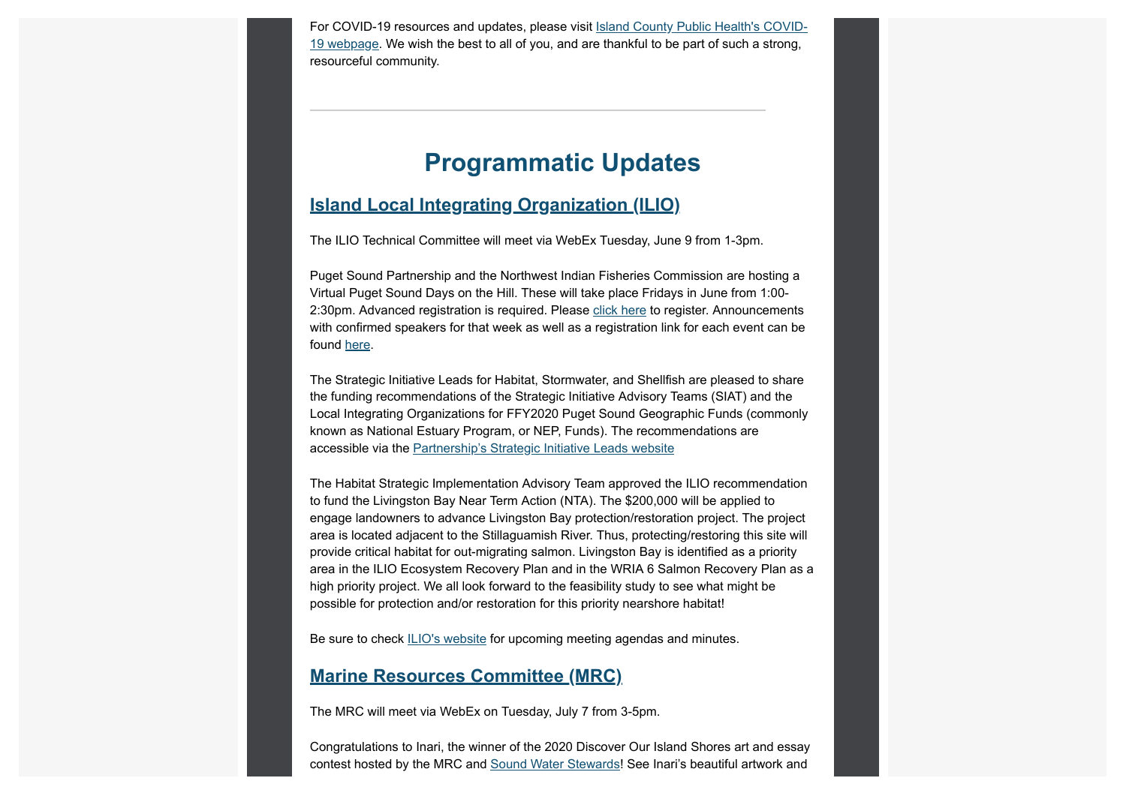For COVID-19 resources and updates, please visit Island County Public Health's COVID-19 webpage. We wish the best to all of you, and are thankful to be part of such a strong, resourceful community.

# **Programmatic Updates**

# **Island Local Integrating Organization (ILIO)**

The ILIO Technical Committee will meet via WebEx Tuesday, June 9 from 1-3pm.

Puget Sound Partnership and the Northwest Indian Fisheries Commission are hosting a Virtual Puget Sound Days on the Hill. These will take place Fridays in June from 1:00- 2:30pm. Advanced registration is required. Please click here to register. Announcements with confirmed speakers for that week as well as a registration link for each event can be found here.

The Strategic Initiative Leads for Habitat, Stormwater, and Shellfish are pleased to share the funding recommendations of the Strategic Initiative Advisory Teams (SIAT) and the Local Integrating Organizations for FFY2020 Puget Sound Geographic Funds (commonly known as National Estuary Program, or NEP, Funds). The recommendations are accessible via the Partnership's Strategic Initiative Leads website

The Habitat Strategic Implementation Advisory Team approved the ILIO recommendation to fund the Livingston Bay Near Term Action (NTA). The \$200,000 will be applied to engage landowners to advance Livingston Bay protection/restoration project. The project area is located adjacent to the Stillaguamish River. Thus, protecting/restoring this site will provide critical habitat for out-migrating salmon. Livingston Bay is identified as a priority area in the ILIO Ecosystem Recovery Plan and in the WRIA 6 Salmon Recovery Plan as a high priority project. We all look forward to the feasibility study to see what might be possible for protection and/or restoration for this priority nearshore habitat!

Be sure to check ILIO's website for upcoming meeting agendas and minutes.

# **Marine Resources Committee (MRC)**

The MRC will meet via WebEx on Tuesday, July 7 from 3-5pm.

Congratulations to Inari, the winner of the 2020 Discover Our Island Shores art and essay contest hosted by the MRC and Sound Water Stewards! See Inari's beautiful artwork and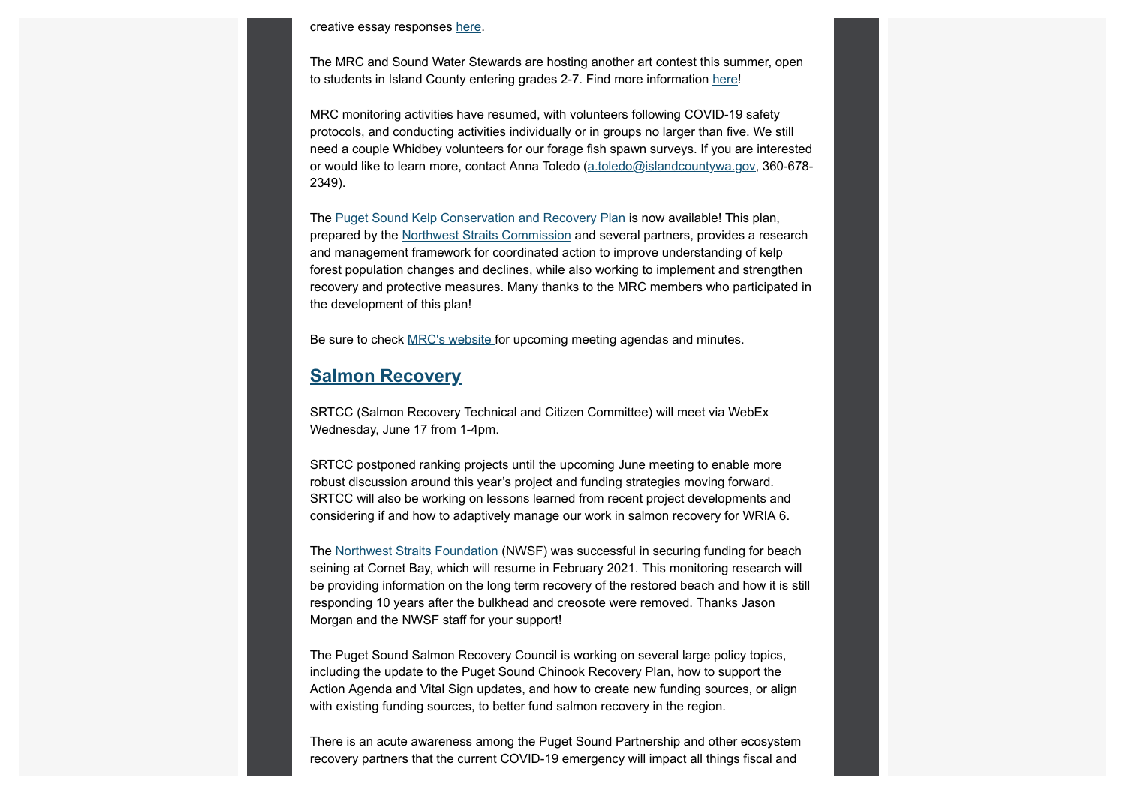creative essay responses here.

The MRC and Sound Water Stewards are hosting another art contest this summer, open to students in Island County entering grades 2-7. Find more information here!

MRC monitoring activities have resumed, with volunteers following COVID-19 safety protocols, and conducting activities individually or in groups no larger than five. We still need a couple Whidbey volunteers for our forage fish spawn surveys. If you are interested or would like to learn more, contact Anna Toledo (a.toledo@islandcountywa.gov, 360-678- 2349).

The Puget Sound Kelp Conservation and Recovery Plan is now available! This plan, prepared by the Northwest Straits Commission and several partners, provides a research and management framework for coordinated action to improve understanding of kelp forest population changes and declines, while also working to implement and strengthen recovery and protective measures. Many thanks to the MRC members who participated in the development of this plan!

Be sure to check MRC's website for upcoming meeting agendas and minutes.

### **Salmon Recovery**

SRTCC (Salmon Recovery Technical and Citizen Committee) will meet via WebEx Wednesday, June 17 from 1-4pm.

SRTCC postponed ranking projects until the upcoming June meeting to enable more robust discussion around this year's project and funding strategies moving forward. SRTCC will also be working on lessons learned from recent project developments and considering if and how to adaptively manage our work in salmon recovery for WRIA 6.

The Northwest Straits Foundation (NWSF) was successful in securing funding for beach seining at Cornet Bay, which will resume in February 2021. This monitoring research will be providing information on the long term recovery of the restored beach and how it is still responding 10 years after the bulkhead and creosote were removed. Thanks Jason Morgan and the NWSF staff for your support!

The Puget Sound Salmon Recovery Council is working on several large policy topics, including the update to the Puget Sound Chinook Recovery Plan, how to support the Action Agenda and Vital Sign updates, and how to create new funding sources, or align with existing funding sources, to better fund salmon recovery in the region.

There is an acute awareness among the Puget Sound Partnership and other ecosystem recovery partners that the current COVID-19 emergency will impact all things fiscal and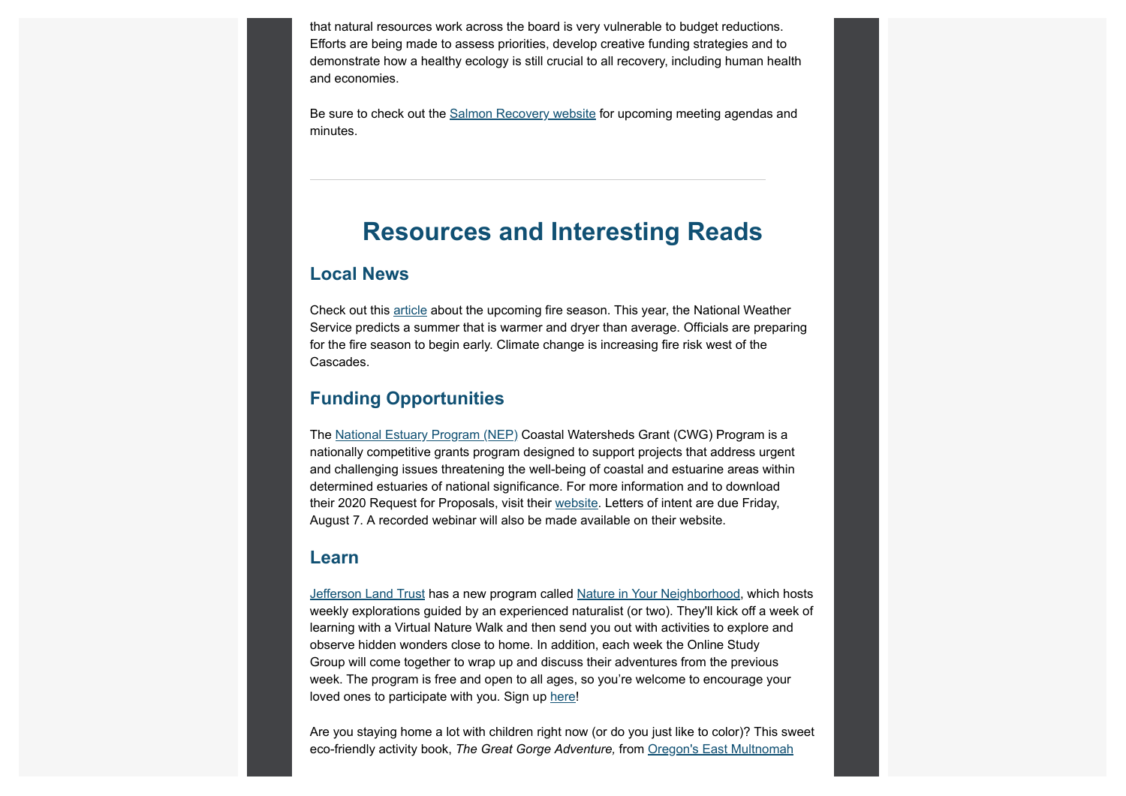that natural resources work across the board is very vulnerable to budget reductions. Efforts are being made to assess priorities, develop creative funding strategies and to demonstrate how a healthy ecology is still crucial to all recovery, including human health and economies.

Be sure to check out the Salmon Recovery website for upcoming meeting agendas and minutes.

# **Resources and Interesting Reads**

### **Local News**

Check out this article about the upcoming fire season. This year, the National Weather Service predicts a summer that is warmer and dryer than average. Officials are preparing for the fire season to begin early. Climate change is increasing fire risk west of the Cascades.

#### **Funding Opportunities**

The National Estuary Program (NEP) Coastal Watersheds Grant (CWG) Program is a nationally competitive grants program designed to support projects that address urgent and challenging issues threatening the well-being of coastal and estuarine areas within determined estuaries of national significance. For more information and to download their 2020 Request for Proposals, visit their website. Letters of intent are due Friday, August 7. A recorded webinar will also be made available on their website.

#### **Learn**

Jefferson Land Trust has a new program called Nature in Your Neighborhood, which hosts weekly explorations guided by an experienced naturalist (or two). They'll kick off a week of learning with a Virtual Nature Walk and then send you out with activities to explore and observe hidden wonders close to home. In addition, each week the Online Study Group will come together to wrap up and discuss their adventures from the previous week. The program is free and open to all ages, so you're welcome to encourage your loved ones to participate with you. Sign up here!

Are you staying home a lot with children right now (or do you just like to color)? This sweet eco-friendly activity book, *The Great Gorge Adventure,* from Oregon's East Multnomah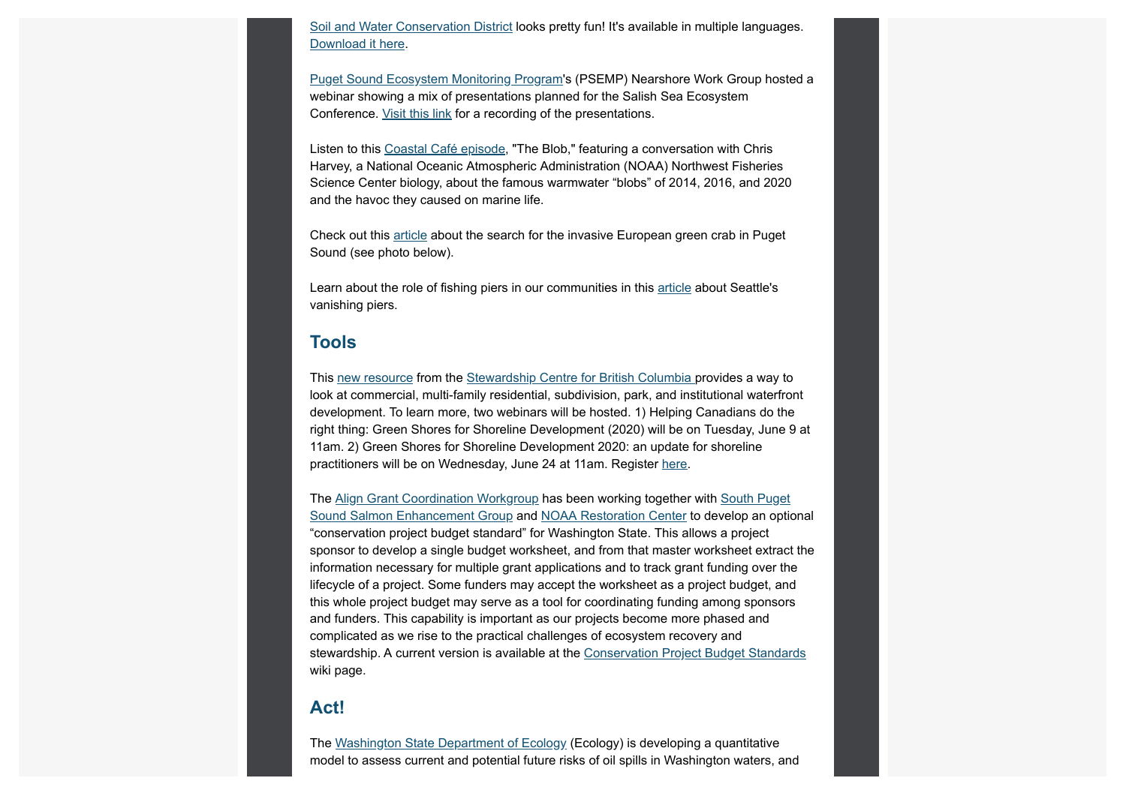Soil and Water Conservation District looks pretty fun! It's available in multiple languages. Download it here.

**Puget Sound Ecosystem Monitoring Program's (PSEMP) Nearshore Work Group hosted a** webinar showing a mix of presentations planned for the Salish Sea Ecosystem Conference. Visit this link for a recording of the presentations.

Listen to this Coastal Café episode, "The Blob," featuring a conversation with Chris Harvey, a National Oceanic Atmospheric Administration (NOAA) Northwest Fisheries Science Center biology, about the famous warmwater "blobs" of 2014, 2016, and 2020 and the havoc they caused on marine life.

Check out this article about the search for the invasive European green crab in Puget Sound (see photo below).

Learn about the role of fishing piers in our communities in this article about Seattle's vanishing piers.

#### **Tools**

This new resource from the Stewardship Centre for British Columbia provides a way to look at commercial, multi-family residential, subdivision, park, and institutional waterfront development. To learn more, two webinars will be hosted. 1) Helping Canadians do the right thing: Green Shores for Shoreline Development (2020) will be on Tuesday, June 9 at 11am. 2) Green Shores for Shoreline Development 2020: an update for shoreline practitioners will be on Wednesday, June 24 at 11am. Register here.

The Align Grant Coordination Workgroup has been working together with South Puget Sound Salmon Enhancement Group and NOAA Restoration Center to develop an optional "conservation project budget standard" for Washington State. This allows a project sponsor to develop a single budget worksheet, and from that master worksheet extract the information necessary for multiple grant applications and to track grant funding over the lifecycle of a project. Some funders may accept the worksheet as a project budget, and this whole project budget may serve as a tool for coordinating funding among sponsors and funders. This capability is important as our projects become more phased and complicated as we rise to the practical challenges of ecosystem recovery and stewardship. A current version is available at the Conservation Project Budget Standards wiki page.

#### **Act!**

The Washington State Department of Ecology (Ecology) is developing a quantitative model to assess current and potential future risks of oil spills in Washington waters, and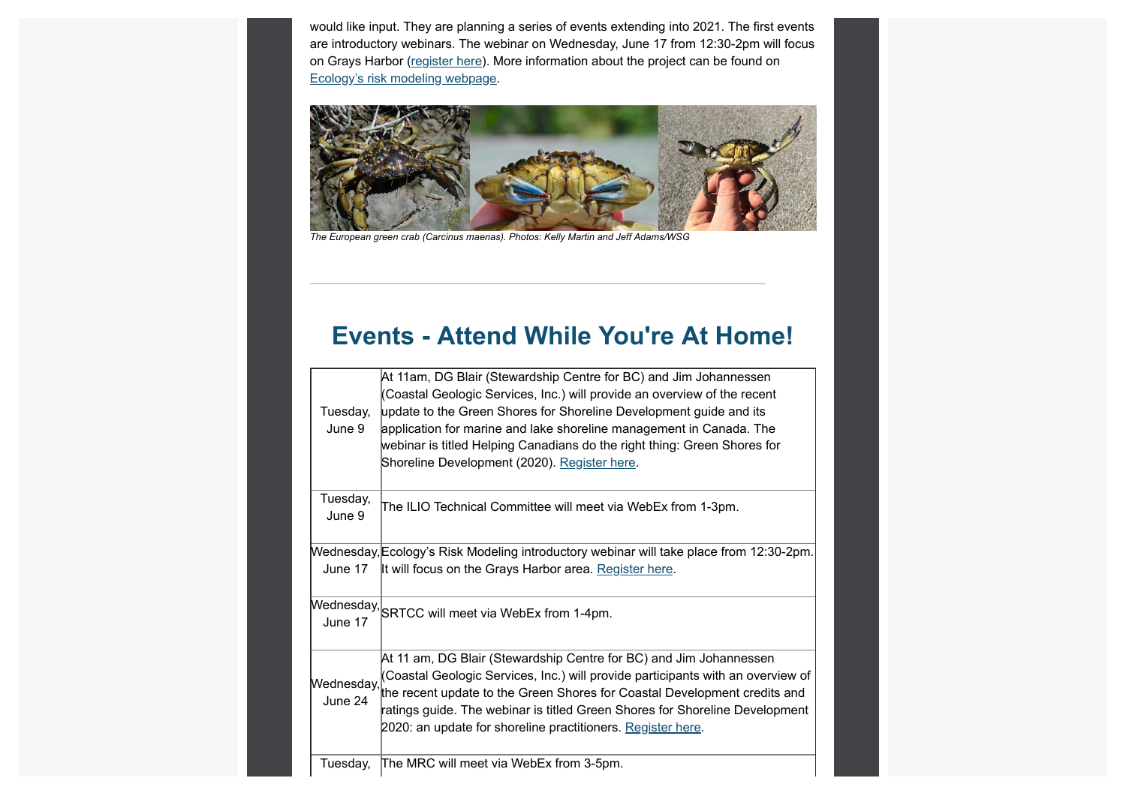would like input. They are planning a series of events extending into 2021. The first events are introductory webinars. The webinar on Wednesday, June 17 from 12:30-2pm will focus on Grays Harbor (register here). More information about the project can be found on Ecology's risk modeling webpage.



*The European green crab (Carcinus maenas). Photos: Kelly Martin and Jeff Adams/WSG*

# **Events - Attend While You're At Home!**

| Tuesday,<br>June 9    | At 11am, DG Blair (Stewardship Centre for BC) and Jim Johannessen<br>(Coastal Geologic Services, Inc.) will provide an overview of the recent<br>update to the Green Shores for Shoreline Development guide and its<br>application for marine and lake shoreline management in Canada. The<br>webinar is titled Helping Canadians do the right thing: Green Shores for<br>Shoreline Development (2020). Register here. |
|-----------------------|------------------------------------------------------------------------------------------------------------------------------------------------------------------------------------------------------------------------------------------------------------------------------------------------------------------------------------------------------------------------------------------------------------------------|
| Tuesday,<br>June 9    | The ILIO Technical Committee will meet via WebEx from 1-3pm.                                                                                                                                                                                                                                                                                                                                                           |
| June 17               | Wednesday, Ecology's Risk Modeling introductory webinar will take place from 12:30-2pm.<br>It will focus on the Grays Harbor area. Register here.                                                                                                                                                                                                                                                                      |
| June 17               | Wednesday, SRTCC will meet via WebEx from 1-4pm.                                                                                                                                                                                                                                                                                                                                                                       |
| Wednesday,<br>June 24 | At 11 am, DG Blair (Stewardship Centre for BC) and Jim Johannessen<br>(Coastal Geologic Services, Inc.) will provide participants with an overview of<br>the recent update to the Green Shores for Coastal Development credits and<br>ratings guide. The webinar is titled Green Shores for Shoreline Development<br>2020: an update for shoreline practitioners. Register here.                                       |
| Tuesday,              | The MRC will meet via WebEx from 3-5pm.                                                                                                                                                                                                                                                                                                                                                                                |